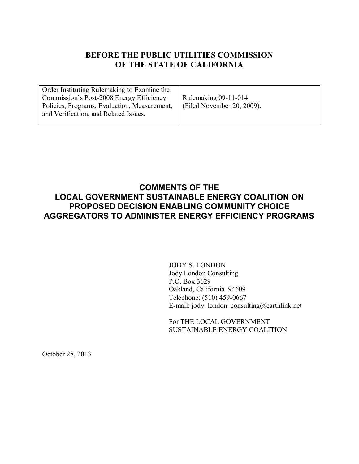# **BEFORE THE PUBLIC UTILITIES COMMISSION OF THE STATE OF CALIFORNIA**

| Order Instituting Rulemaking to Examine the<br>Commission's Post-2008 Energy Efficiency<br>Policies, Programs, Evaluation, Measurement,<br>and Verification, and Related Issues. | Rulemaking $09-11-014$<br>Filed November 20, 2009). |
|----------------------------------------------------------------------------------------------------------------------------------------------------------------------------------|-----------------------------------------------------|
|                                                                                                                                                                                  |                                                     |

# **COMMENTS OF THE LOCAL GOVERNMENT SUSTAINABLE ENERGY COALITION ON PROPOSED DECISION ENABLING COMMUNITY CHOICE AGGREGATORS TO ADMINISTER ENERGY EFFICIENCY PROGRAMS**

JODY S. LONDON Jody London Consulting P.O. Box 3629 Oakland, California 94609 Telephone: (510) 459-0667 E-mail: jody\_london\_consulting@earthlink.net

For THE LOCAL GOVERNMENT SUSTAINABLE ENERGY COALITION

October 28, 2013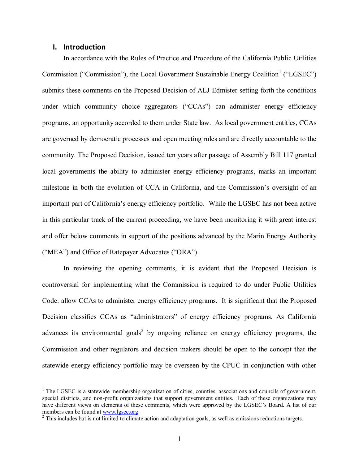# **I. Introduction**

 $\overline{a}$ 

In accordance with the Rules of Practice and Procedure of the California Public Utilities Commission ("Commission"), the Local Government Sustainable Energy Coalition<sup>1</sup> ("LGSEC") submits these comments on the Proposed Decision of ALJ Edmister setting forth the conditions under which community choice aggregators ("CCAs") can administer energy efficiency programs, an opportunity accorded to them under State law. As local government entities, CCAs are governed by democratic processes and open meeting rules and are directly accountable to the community. The Proposed Decision, issued ten years after passage of Assembly Bill 117 granted local governments the ability to administer energy efficiency programs, marks an important milestone in both the evolution of CCA in California, and the Commission's oversight of an important part of California's energy efficiency portfolio. While the LGSEC has not been active in this particular track of the current proceeding, we have been monitoring it with great interest and offer below comments in support of the positions advanced by the Marin Energy Authority ("MEA") and Office of Ratepayer Advocates ("ORA").

In reviewing the opening comments, it is evident that the Proposed Decision is controversial for implementing what the Commission is required to do under Public Utilities Code: allow CCAs to administer energy efficiency programs. It is significant that the Proposed Decision classifies CCAs as "administrators" of energy efficiency programs. As California advances its environmental goals<sup>2</sup> by ongoing reliance on energy efficiency programs, the Commission and other regulators and decision makers should be open to the concept that the statewide energy efficiency portfolio may be overseen by the CPUC in conjunction with other

 $<sup>1</sup>$  The LGSEC is a statewide membership organization of cities, counties, associations and councils of government,</sup> special districts, and non-profit organizations that support government entities. Each of these organizations may have different views on elements of these comments, which were approved by the LGSEC's Board. A list of our members can be found at [www.lgsec.org.](http://www.lgsec.org/)

<sup>&</sup>lt;sup>2</sup> This includes but is not limited to climate action and adaptation goals, as well as emissions reductions targets.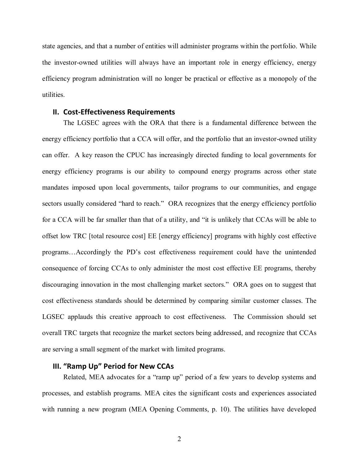state agencies, and that a number of entities will administer programs within the portfolio. While the investor-owned utilities will always have an important role in energy efficiency, energy efficiency program administration will no longer be practical or effective as a monopoly of the utilities.

#### **II. Cost-Effectiveness Requirements**

The LGSEC agrees with the ORA that there is a fundamental difference between the energy efficiency portfolio that a CCA will offer, and the portfolio that an investor-owned utility can offer. A key reason the CPUC has increasingly directed funding to local governments for energy efficiency programs is our ability to compound energy programs across other state mandates imposed upon local governments, tailor programs to our communities, and engage sectors usually considered "hard to reach." ORA recognizes that the energy efficiency portfolio for a CCA will be far smaller than that of a utility, and "it is unlikely that CCAs will be able to offset low TRC [total resource cost] EE [energy efficiency] programs with highly cost effective programs…Accordingly the PD's cost effectiveness requirement could have the unintended consequence of forcing CCAs to only administer the most cost effective EE programs, thereby discouraging innovation in the most challenging market sectors." ORA goes on to suggest that cost effectiveness standards should be determined by comparing similar customer classes. The LGSEC applauds this creative approach to cost effectiveness. The Commission should set overall TRC targets that recognize the market sectors being addressed, and recognize that CCAs are serving a small segment of the market with limited programs.

# **III. "Ramp Up" Period for New CCAs**

Related, MEA advocates for a "ramp up" period of a few years to develop systems and processes, and establish programs. MEA cites the significant costs and experiences associated with running a new program (MEA Opening Comments, p. 10). The utilities have developed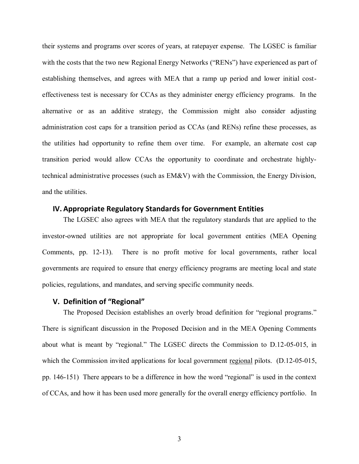their systems and programs over scores of years, at ratepayer expense. The LGSEC is familiar with the costs that the two new Regional Energy Networks ("RENs") have experienced as part of establishing themselves, and agrees with MEA that a ramp up period and lower initial costeffectiveness test is necessary for CCAs as they administer energy efficiency programs. In the alternative or as an additive strategy, the Commission might also consider adjusting administration cost caps for a transition period as CCAs (and RENs) refine these processes, as the utilities had opportunity to refine them over time. For example, an alternate cost cap transition period would allow CCAs the opportunity to coordinate and orchestrate highlytechnical administrative processes (such as EM&V) with the Commission, the Energy Division, and the utilities.

# **IV. Appropriate Regulatory Standards for Government Entities**

The LGSEC also agrees with MEA that the regulatory standards that are applied to the investor-owned utilities are not appropriate for local government entities (MEA Opening Comments, pp. 12-13). There is no profit motive for local governments, rather local governments are required to ensure that energy efficiency programs are meeting local and state policies, regulations, and mandates, and serving specific community needs.

### **V. Definition of "Regional"**

The Proposed Decision establishes an overly broad definition for "regional programs." There is significant discussion in the Proposed Decision and in the MEA Opening Comments about what is meant by "regional." The LGSEC directs the Commission to D.12-05-015, in which the Commission invited applications for local government regional pilots. (D.12-05-015, pp. 146-151) There appears to be a difference in how the word "regional" is used in the context of CCAs, and how it has been used more generally for the overall energy efficiency portfolio. In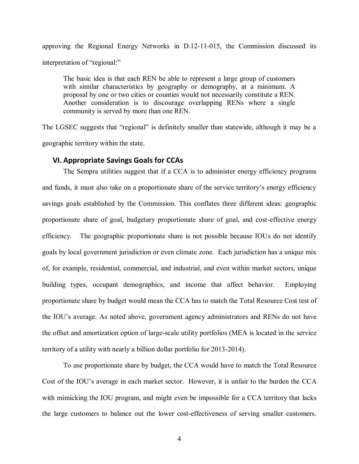approving the Regional Energy Networks in D.12-11-015, the Commission discussed its interpretation of "regional:"

The basic idea is that each REN be able to represent a large group of customers with similar characteristics by geography or demography, at a minimum. A proposal by one or two cities or counties would not necessarily constitute a REN. Another consideration is to discourage overlapping RENs where a single community is served by more than one REN.

The LGSEC suggests that "regional" is definitely smaller than statewide, although it may be a geographic territory within the state.

#### **VI. Appropriate Savings Goals for CCAs**

The Sempra utilities suggest that if a CCA is to administer energy efficiency programs and funds, it must also take on a proportionate share of the service territory's energy efficiency savings goals established by the Commission. This conflates three different ideas: geographic proportionate share of goal, budgetary proportionate share of goal, and cost-effective energy efficiency. The geographic proportionate share is not possible because IOUs do not identify goals by local government jurisdiction or even climate zone. Each jurisdiction has a unique mix of, for example, residential, commercial, and industrial, and even within market sectors, unique building types, occupant demographics, and income that affect behavior. Employing proportionate share by budget would mean the CCA has to match the Total Resource Cost test of the IOU's average. As noted above, government agency administrators and RENs do not have the offset and amortization option of large-scale utility portfolios (MEA is located in the service territory of a utility with nearly a billion dollar portfolio for 2013-2014).

To use proportionate share by budget, the CCA would have to match the Total Resource Cost of the IOU's average in each market sector. However, it is unfair to the burden the CCA with mimicking the IOU program, and might even be impossible for a CCA territory that lacks the large customers to balance out the lower cost-effectiveness of serving smaller customers.